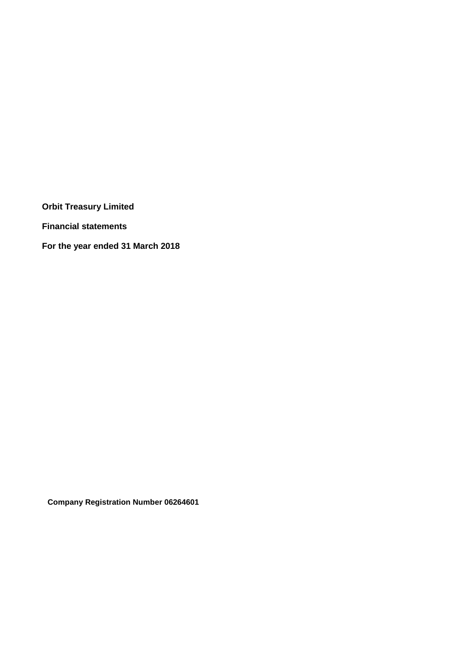**Financial statements**

**For the year ended 31 March 2018**

**Company Registration Number 06264601**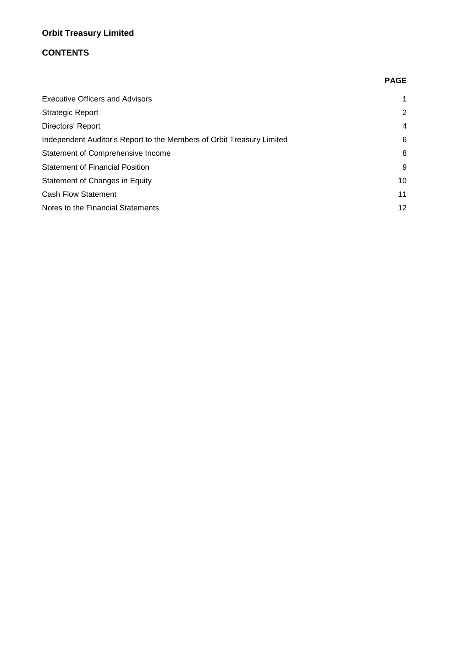# **CONTENTS**

|                                                                       | <b>PAGE</b> |
|-----------------------------------------------------------------------|-------------|
| <b>Executive Officers and Advisors</b>                                | 1           |
| <b>Strategic Report</b>                                               | 2           |
| Directors' Report                                                     | 4           |
| Independent Auditor's Report to the Members of Orbit Treasury Limited | 6           |
| Statement of Comprehensive Income                                     | 8           |
| <b>Statement of Financial Position</b>                                | 9           |
| Statement of Changes in Equity                                        | 10          |
| <b>Cash Flow Statement</b>                                            | 11          |
| Notes to the Financial Statements                                     | 12          |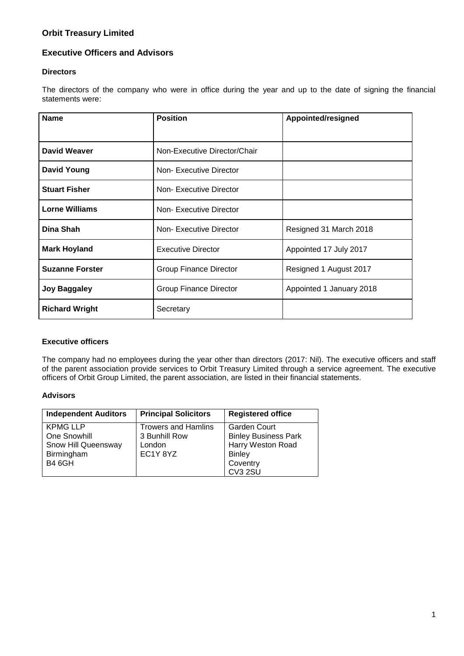# **Executive Officers and Advisors**

### **Directors**

The directors of the company who were in office during the year and up to the date of signing the financial statements were:

| <b>Name</b>            | <b>Position</b>               | Appointed/resigned       |
|------------------------|-------------------------------|--------------------------|
|                        |                               |                          |
| David Weaver           | Non-Executive Director/Chair  |                          |
| David Young            | Non-Executive Director        |                          |
| <b>Stuart Fisher</b>   | Non- Executive Director       |                          |
| <b>Lorne Williams</b>  | Non-Executive Director        |                          |
| Dina Shah              | Non-Executive Director        | Resigned 31 March 2018   |
| <b>Mark Hoyland</b>    | <b>Executive Director</b>     | Appointed 17 July 2017   |
| <b>Suzanne Forster</b> | <b>Group Finance Director</b> | Resigned 1 August 2017   |
| <b>Joy Baggaley</b>    | <b>Group Finance Director</b> | Appointed 1 January 2018 |
| <b>Richard Wright</b>  | Secretary                     |                          |

### **Executive officers**

The company had no employees during the year other than directors (2017: Nil). The executive officers and staff of the parent association provide services to Orbit Treasury Limited through a service agreement. The executive officers of Orbit Group Limited, the parent association, are listed in their financial statements.

### **Advisors**

| <b>Independent Auditors</b> | <b>Principal Solicitors</b> | <b>Registered office</b>    |
|-----------------------------|-----------------------------|-----------------------------|
| <b>KPMG LLP</b>             | <b>Trowers and Hamlins</b>  | Garden Court                |
| One Snowhill                | 3 Bunhill Row               | <b>Binley Business Park</b> |
| Snow Hill Queensway         | London                      | Harry Weston Road           |
| Birmingham                  | EC1Y8YZ                     | <b>Binley</b>               |
| <b>B4 6GH</b>               |                             | Coventry                    |
|                             |                             | CV3 2SU                     |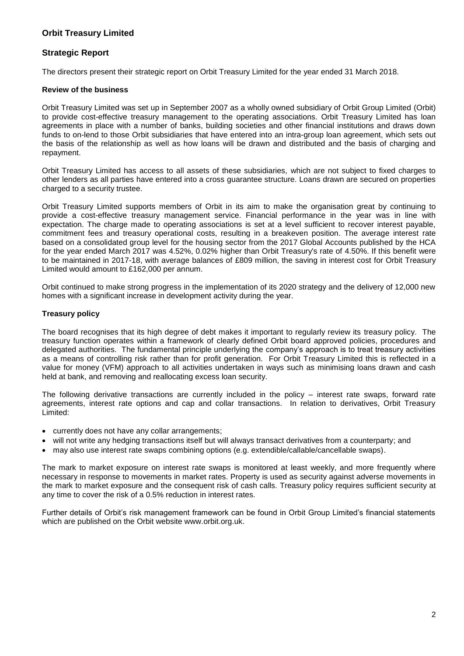# **Strategic Report**

The directors present their strategic report on Orbit Treasury Limited for the year ended 31 March 2018.

### **Review of the business**

Orbit Treasury Limited was set up in September 2007 as a wholly owned subsidiary of Orbit Group Limited (Orbit) to provide cost-effective treasury management to the operating associations. Orbit Treasury Limited has loan agreements in place with a number of banks, building societies and other financial institutions and draws down funds to on-lend to those Orbit subsidiaries that have entered into an intra-group loan agreement, which sets out the basis of the relationship as well as how loans will be drawn and distributed and the basis of charging and repayment.

Orbit Treasury Limited has access to all assets of these subsidiaries, which are not subject to fixed charges to other lenders as all parties have entered into a cross guarantee structure. Loans drawn are secured on properties charged to a security trustee.

Orbit Treasury Limited supports members of Orbit in its aim to make the organisation great by continuing to provide a cost-effective treasury management service. Financial performance in the year was in line with expectation. The charge made to operating associations is set at a level sufficient to recover interest payable, commitment fees and treasury operational costs, resulting in a breakeven position. The average interest rate based on a consolidated group level for the housing sector from the 2017 Global Accounts published by the HCA for the year ended March 2017 was 4.52%, 0.02% higher than Orbit Treasury's rate of 4.50%. If this benefit were to be maintained in 2017-18, with average balances of £809 million, the saving in interest cost for Orbit Treasury Limited would amount to £162,000 per annum.

Orbit continued to make strong progress in the implementation of its 2020 strategy and the delivery of 12,000 new homes with a significant increase in development activity during the year.

### **Treasury policy**

The board recognises that its high degree of debt makes it important to regularly review its treasury policy. The treasury function operates within a framework of clearly defined Orbit board approved policies, procedures and delegated authorities. The fundamental principle underlying the company's approach is to treat treasury activities as a means of controlling risk rather than for profit generation. For Orbit Treasury Limited this is reflected in a value for money (VFM) approach to all activities undertaken in ways such as minimising loans drawn and cash held at bank, and removing and reallocating excess loan security.

The following derivative transactions are currently included in the policy – interest rate swaps, forward rate agreements, interest rate options and cap and collar transactions. In relation to derivatives, Orbit Treasury Limited:

- currently does not have any collar arrangements;
- will not write any hedging transactions itself but will always transact derivatives from a counterparty; and
- may also use interest rate swaps combining options (e.g. extendible/callable/cancellable swaps).

The mark to market exposure on interest rate swaps is monitored at least weekly, and more frequently where necessary in response to movements in market rates. Property is used as security against adverse movements in the mark to market exposure and the consequent risk of cash calls. Treasury policy requires sufficient security at any time to cover the risk of a 0.5% reduction in interest rates.

Further details of Orbit's risk management framework can be found in Orbit Group Limited's financial statements which are published on the Orbit website www.orbit.org.uk.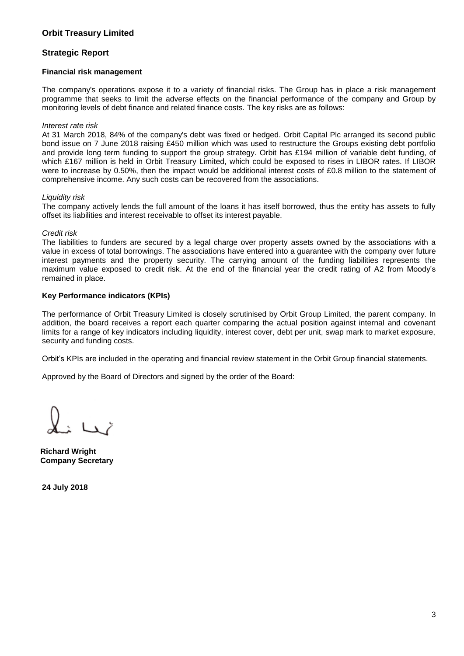## **Strategic Report**

### **Financial risk management**

The company's operations expose it to a variety of financial risks. The Group has in place a risk management programme that seeks to limit the adverse effects on the financial performance of the company and Group by monitoring levels of debt finance and related finance costs. The key risks are as follows:

### *Interest rate risk*

At 31 March 2018, 84% of the company's debt was fixed or hedged. Orbit Capital Plc arranged its second public bond issue on 7 June 2018 raising £450 million which was used to restructure the Groups existing debt portfolio and provide long term funding to support the group strategy. Orbit has £194 million of variable debt funding, of which £167 million is held in Orbit Treasury Limited, which could be exposed to rises in LIBOR rates. If LIBOR were to increase by 0.50%, then the impact would be additional interest costs of £0.8 million to the statement of comprehensive income. Any such costs can be recovered from the associations.

### *Liquidity risk*

The company actively lends the full amount of the loans it has itself borrowed, thus the entity has assets to fully offset its liabilities and interest receivable to offset its interest payable.

### *Credit risk*

The liabilities to funders are secured by a legal charge over property assets owned by the associations with a value in excess of total borrowings. The associations have entered into a guarantee with the company over future interest payments and the property security. The carrying amount of the funding liabilities represents the maximum value exposed to credit risk. At the end of the financial year the credit rating of A2 from Moody's remained in place.

### **Key Performance indicators (KPIs)**

The performance of Orbit Treasury Limited is closely scrutinised by Orbit Group Limited, the parent company. In addition, the board receives a report each quarter comparing the actual position against internal and covenant limits for a range of key indicators including liquidity, interest cover, debt per unit, swap mark to market exposure, security and funding costs.

Orbit's KPIs are included in the operating and financial review statement in the Orbit Group financial statements.

Approved by the Board of Directors and signed by the order of the Board:

**Richard Wright Company Secretary**

**24 July 2018**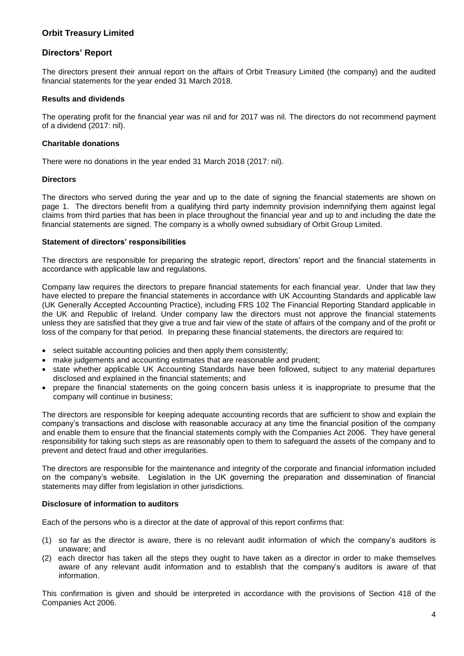## **Directors' Report**

The directors present their annual report on the affairs of Orbit Treasury Limited (the company) and the audited financial statements for the year ended 31 March 2018.

### **Results and dividends**

The operating profit for the financial year was nil and for 2017 was nil. The directors do not recommend payment of a dividend (2017: nil).

### **Charitable donations**

There were no donations in the year ended 31 March 2018 (2017: nil).

### **Directors**

The directors who served during the year and up to the date of signing the financial statements are shown on page 1. The directors benefit from a qualifying third party indemnity provision indemnifying them against legal claims from third parties that has been in place throughout the financial year and up to and including the date the financial statements are signed. The company is a wholly owned subsidiary of Orbit Group Limited.

### **Statement of directors' responsibilities**

The directors are responsible for preparing the strategic report, directors' report and the financial statements in accordance with applicable law and regulations.

Company law requires the directors to prepare financial statements for each financial year. Under that law they have elected to prepare the financial statements in accordance with UK Accounting Standards and applicable law (UK Generally Accepted Accounting Practice), including FRS 102 The Financial Reporting Standard applicable in the UK and Republic of Ireland. Under company law the directors must not approve the financial statements unless they are satisfied that they give a true and fair view of the state of affairs of the company and of the profit or loss of the company for that period. In preparing these financial statements, the directors are required to:

- select suitable accounting policies and then apply them consistently;
- make judgements and accounting estimates that are reasonable and prudent;
- state whether applicable UK Accounting Standards have been followed, subject to any material departures disclosed and explained in the financial statements; and
- prepare the financial statements on the going concern basis unless it is inappropriate to presume that the company will continue in business;

The directors are responsible for keeping adequate accounting records that are sufficient to show and explain the company's transactions and disclose with reasonable accuracy at any time the financial position of the company and enable them to ensure that the financial statements comply with the Companies Act 2006. They have general responsibility for taking such steps as are reasonably open to them to safeguard the assets of the company and to prevent and detect fraud and other irregularities.

The directors are responsible for the maintenance and integrity of the corporate and financial information included on the company's website. Legislation in the UK governing the preparation and dissemination of financial statements may differ from legislation in other jurisdictions.

### **Disclosure of information to auditors**

Each of the persons who is a director at the date of approval of this report confirms that:

- (1) so far as the director is aware, there is no relevant audit information of which the company's auditors is unaware; and
- (2) each director has taken all the steps they ought to have taken as a director in order to make themselves aware of any relevant audit information and to establish that the company's auditors is aware of that information.

This confirmation is given and should be interpreted in accordance with the provisions of Section 418 of the Companies Act 2006.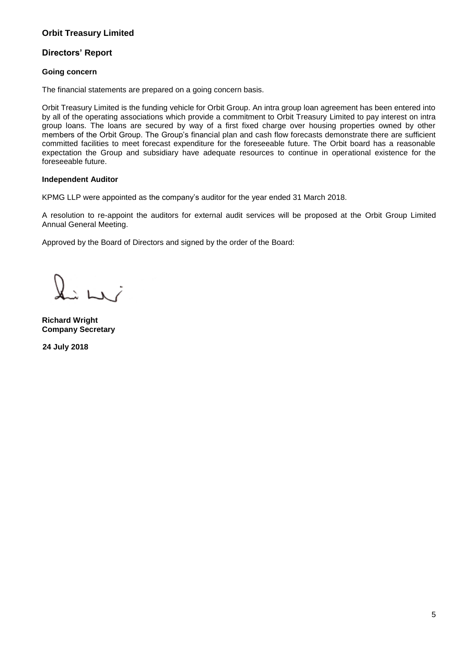## **Directors' Report**

### **Going concern**

The financial statements are prepared on a going concern basis.

Orbit Treasury Limited is the funding vehicle for Orbit Group. An intra group loan agreement has been entered into by all of the operating associations which provide a commitment to Orbit Treasury Limited to pay interest on intra group loans. The loans are secured by way of a first fixed charge over housing properties owned by other members of the Orbit Group. The Group's financial plan and cash flow forecasts demonstrate there are sufficient committed facilities to meet forecast expenditure for the foreseeable future. The Orbit board has a reasonable expectation the Group and subsidiary have adequate resources to continue in operational existence for the foreseeable future.

### **Independent Auditor**

KPMG LLP were appointed as the company's auditor for the year ended 31 March 2018.

A resolution to re-appoint the auditors for external audit services will be proposed at the Orbit Group Limited Annual General Meeting.

Approved by the Board of Directors and signed by the order of the Board:

 $\frac{1}{2}$ 

**Richard Wright Company Secretary**

**24 July 2018**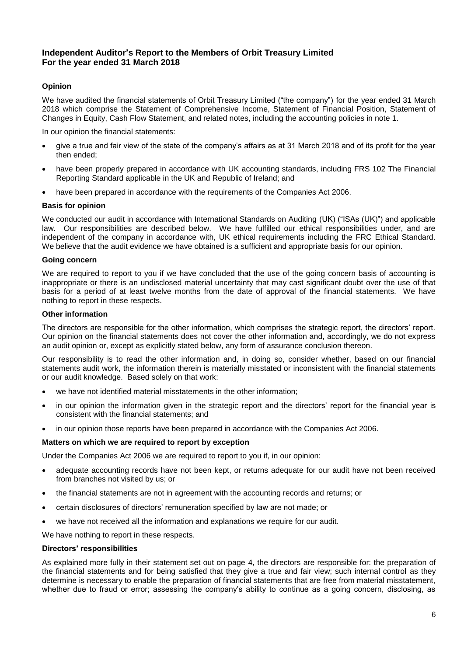# **Independent Auditor's Report to the Members of Orbit Treasury Limited For the year ended 31 March 2018**

## **Opinion**

We have audited the financial statements of Orbit Treasury Limited ("the company") for the year ended 31 March 2018 which comprise the Statement of Comprehensive Income, Statement of Financial Position, Statement of Changes in Equity, Cash Flow Statement, and related notes, including the accounting policies in note 1.

In our opinion the financial statements:

- give a true and fair view of the state of the company's affairs as at 31 March 2018 and of its profit for the year then ended;
- have been properly prepared in accordance with UK accounting standards, including FRS 102 The Financial Reporting Standard applicable in the UK and Republic of Ireland; and
- have been prepared in accordance with the requirements of the Companies Act 2006.

### **Basis for opinion**

We conducted our audit in accordance with International Standards on Auditing (UK) ("ISAs (UK)") and applicable law. Our responsibilities are described below. We have fulfilled our ethical responsibilities under, and are independent of the company in accordance with, UK ethical requirements including the FRC Ethical Standard. We believe that the audit evidence we have obtained is a sufficient and appropriate basis for our opinion.

### **Going concern**

We are required to report to you if we have concluded that the use of the going concern basis of accounting is inappropriate or there is an undisclosed material uncertainty that may cast significant doubt over the use of that basis for a period of at least twelve months from the date of approval of the financial statements. We have nothing to report in these respects.

### **Other information**

The directors are responsible for the other information, which comprises the strategic report, the directors' report. Our opinion on the financial statements does not cover the other information and, accordingly, we do not express an audit opinion or, except as explicitly stated below, any form of assurance conclusion thereon.

Our responsibility is to read the other information and, in doing so, consider whether, based on our financial statements audit work, the information therein is materially misstated or inconsistent with the financial statements or our audit knowledge. Based solely on that work:

- we have not identified material misstatements in the other information;
- in our opinion the information given in the strategic report and the directors' report for the financial year is consistent with the financial statements; and
- in our opinion those reports have been prepared in accordance with the Companies Act 2006.

### **Matters on which we are required to report by exception**

Under the Companies Act 2006 we are required to report to you if, in our opinion:

- adequate accounting records have not been kept, or returns adequate for our audit have not been received from branches not visited by us; or
- the financial statements are not in agreement with the accounting records and returns; or
- certain disclosures of directors' remuneration specified by law are not made; or
- we have not received all the information and explanations we require for our audit.

We have nothing to report in these respects.

#### **Directors' responsibilities**

As explained more fully in their statement set out on page 4, the directors are responsible for: the preparation of the financial statements and for being satisfied that they give a true and fair view; such internal control as they determine is necessary to enable the preparation of financial statements that are free from material misstatement, whether due to fraud or error; assessing the company's ability to continue as a going concern, disclosing, as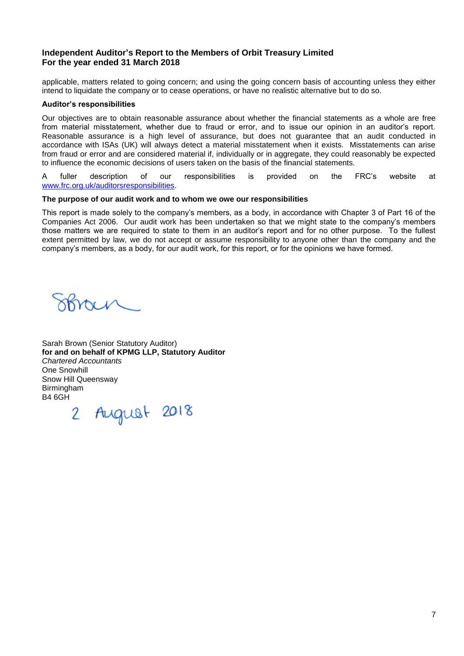## **Independent Auditor's Report to the Members of Orbit Treasury Limited For the year ended 31 March 2018**

applicable, matters related to going concern; and using the going concern basis of accounting unless they either intend to liquidate the company or to cease operations, or have no realistic alternative but to do so.

#### **Auditor's responsibilities**

Our objectives are to obtain reasonable assurance about whether the financial statements as a whole are free from material misstatement, whether due to fraud or error, and to issue our opinion in an auditor's report. Reasonable assurance is a high level of assurance, but does not guarantee that an audit conducted in accordance with ISAs (UK) will always detect a material misstatement when it exists. Misstatements can arise from fraud or error and are considered material if, individually or in aggregate, they could reasonably be expected to influence the economic decisions of users taken on the basis of the financial statements.

A fuller description of our responsibilities is provided on the FRC's website at [www.frc.org.uk/auditorsresponsibilities.](http://www.frc.org.uk/auditorsresponsibilities)

#### **The purpose of our audit work and to whom we owe our responsibilities**

This report is made solely to the company's members, as a body, in accordance with Chapter 3 of Part 16 of the Companies Act 2006. Our audit work has been undertaken so that we might state to the company's members those matters we are required to state to them in an auditor's report and for no other purpose. To the fullest extent permitted by law, we do not accept or assume responsibility to anyone other than the company and the company's members, as a body, for our audit work, for this report, or for the opinions we have formed.

Sarah Brown (Senior Statutory Auditor) **for and on behalf of KPMG LLP, Statutory Auditor**  *Chartered Accountants*  One Snowhill Snow Hill Queensway Birmingham B4 6GH

August 2018  $\mathcal{L}$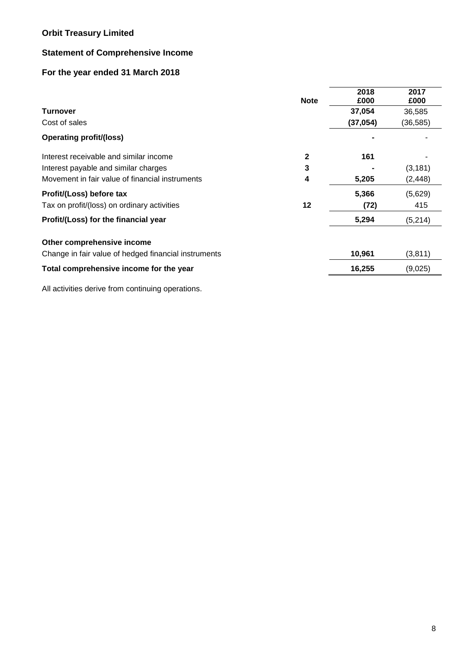# **Statement of Comprehensive Income**

# **For the year ended 31 March 2018**

|                                                      | <b>Note</b> | 2018<br>£000 | 2017<br>£000 |
|------------------------------------------------------|-------------|--------------|--------------|
| <b>Turnover</b>                                      |             | 37,054       | 36,585       |
| Cost of sales                                        |             | (37, 054)    | (36, 585)    |
| <b>Operating profit/(loss)</b>                       |             |              |              |
| Interest receivable and similar income               | 2           | 161          |              |
| Interest payable and similar charges                 | 3           |              | (3, 181)     |
| Movement in fair value of financial instruments      | 4           | 5,205        | (2, 448)     |
| Profit/(Loss) before tax                             |             | 5,366        | (5,629)      |
| Tax on profit/(loss) on ordinary activities          | 12          | (72)         | 415          |
| Profit/(Loss) for the financial year                 |             | 5,294        | (5,214)      |
| Other comprehensive income                           |             |              |              |
| Change in fair value of hedged financial instruments |             | 10,961       | (3,811)      |
| Total comprehensive income for the year              |             | 16,255       | (9,025)      |

All activities derive from continuing operations.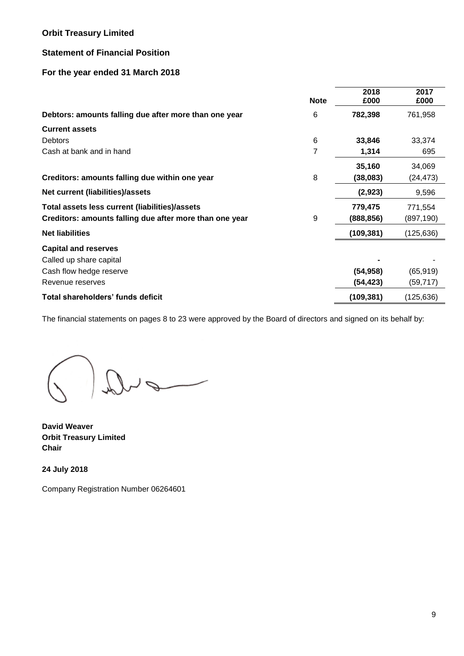# **Statement of Financial Position**

# **For the year ended 31 March 2018**

|                                                         | <b>Note</b>    | 2018<br>£000 | 2017<br>£000 |
|---------------------------------------------------------|----------------|--------------|--------------|
| Debtors: amounts falling due after more than one year   | 6              | 782,398      | 761,958      |
| <b>Current assets</b>                                   |                |              |              |
| <b>Debtors</b>                                          | 6              | 33,846       | 33,374       |
| Cash at bank and in hand                                | $\overline{7}$ | 1,314        | 695          |
|                                                         |                | 35,160       | 34,069       |
| Creditors: amounts falling due within one year          | 8              | (38,083)     | (24, 473)    |
| Net current (liabilities)/assets                        |                | (2,923)      | 9,596        |
| Total assets less current (liabilities)/assets          |                | 779,475      | 771,554      |
| Creditors: amounts falling due after more than one year | 9              | (888, 856)   | (897, 190)   |
| <b>Net liabilities</b>                                  |                | (109, 381)   | (125, 636)   |
| <b>Capital and reserves</b>                             |                |              |              |
| Called up share capital                                 |                |              |              |
| Cash flow hedge reserve                                 |                | (54, 958)    | (65, 919)    |
| Revenue reserves                                        |                | (54, 423)    | (59,717)     |
| Total shareholders' funds deficit                       |                | (109, 381)   | (125, 636)   |

The financial statements on pages 8 to 23 were approved by the Board of directors and signed on its behalf by:

 $\overline{\hspace{1em}}$ 

**David Weaver Orbit Treasury Limited Chair**

**24 July 2018**

Company Registration Number 06264601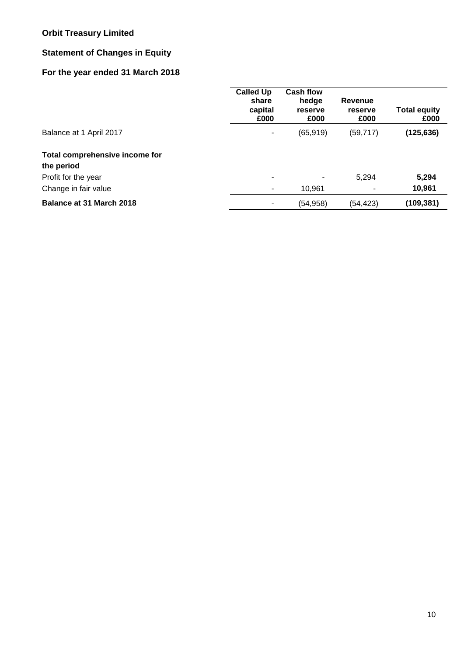# **Statement of Changes in Equity**

# **For the year ended 31 March 2018**

|                                              | <b>Called Up</b><br>share<br>capital<br>£000 | <b>Cash flow</b><br>hedge<br>reserve<br>£000 | Revenue<br>reserve<br>£000 | <b>Total equity</b><br>£000 |
|----------------------------------------------|----------------------------------------------|----------------------------------------------|----------------------------|-----------------------------|
| Balance at 1 April 2017                      | $\blacksquare$                               | (65, 919)                                    | (59, 717)                  | (125, 636)                  |
| Total comprehensive income for<br>the period |                                              |                                              |                            |                             |
| Profit for the year                          | $\overline{\phantom{a}}$                     |                                              | 5,294                      | 5,294                       |
| Change in fair value                         | ٠                                            | 10,961                                       |                            | 10,961                      |
| Balance at 31 March 2018                     |                                              | (54, 958)                                    | (54, 423)                  | (109,381)                   |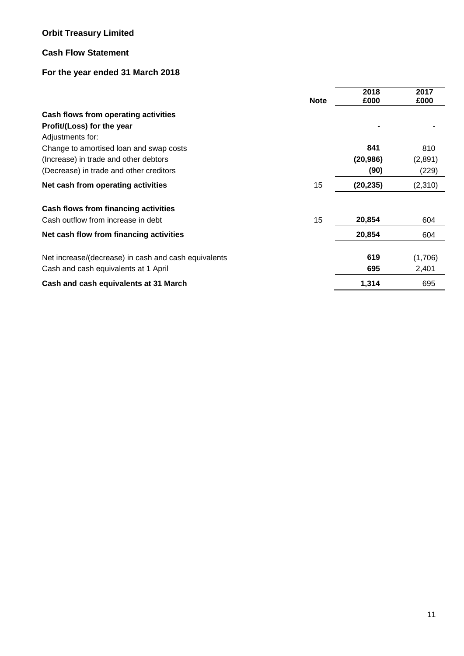# **Cash Flow Statement**

# **For the year ended 31 March 2018**

|                                                      | <b>Note</b> | 2018<br>£000 | 2017<br>£000 |
|------------------------------------------------------|-------------|--------------|--------------|
| Cash flows from operating activities                 |             |              |              |
| Profit/(Loss) for the year                           |             |              |              |
| Adjustments for:                                     |             |              |              |
| Change to amortised loan and swap costs              |             | 841          | 810          |
| (Increase) in trade and other debtors                |             | (20, 986)    | (2,891)      |
| (Decrease) in trade and other creditors              |             | (90)         | (229)        |
| Net cash from operating activities                   | 15          | (20, 235)    | (2,310)      |
| Cash flows from financing activities                 |             |              |              |
| Cash outflow from increase in debt                   | 15          | 20,854       | 604          |
| Net cash flow from financing activities              |             | 20,854       | 604          |
| Net increase/(decrease) in cash and cash equivalents |             | 619          | (1,706)      |
| Cash and cash equivalents at 1 April                 |             | 695          | 2,401        |
| Cash and cash equivalents at 31 March                |             | 1,314        | 695          |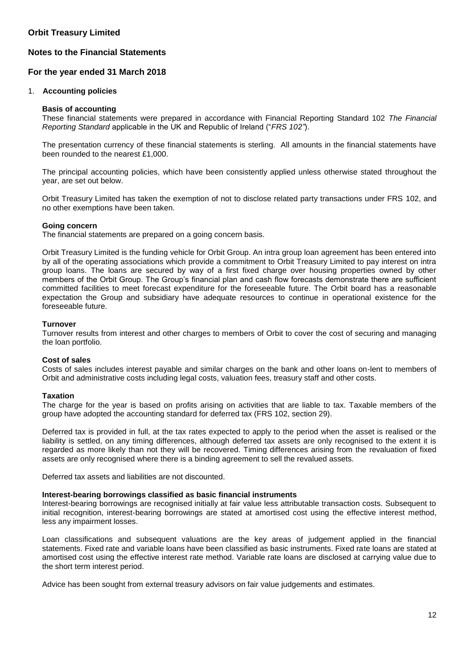## **Notes to the Financial Statements**

## **For the year ended 31 March 2018**

#### 1. **Accounting policies**

#### **Basis of accounting**

These financial statements were prepared in accordance with Financial Reporting Standard 102 *The Financial Reporting Standard* applicable in the UK and Republic of Ireland ("*FRS 102"*).

The presentation currency of these financial statements is sterling. All amounts in the financial statements have been rounded to the nearest £1,000.

The principal accounting policies, which have been consistently applied unless otherwise stated throughout the year, are set out below.

Orbit Treasury Limited has taken the exemption of not to disclose related party transactions under FRS 102, and no other exemptions have been taken.

### **Going concern**

The financial statements are prepared on a going concern basis.

Orbit Treasury Limited is the funding vehicle for Orbit Group. An intra group loan agreement has been entered into by all of the operating associations which provide a commitment to Orbit Treasury Limited to pay interest on intra group loans. The loans are secured by way of a first fixed charge over housing properties owned by other members of the Orbit Group. The Group's financial plan and cash flow forecasts demonstrate there are sufficient committed facilities to meet forecast expenditure for the foreseeable future. The Orbit board has a reasonable expectation the Group and subsidiary have adequate resources to continue in operational existence for the foreseeable future.

#### **Turnover**

Turnover results from interest and other charges to members of Orbit to cover the cost of securing and managing the loan portfolio.

#### **Cost of sales**

Costs of sales includes interest payable and similar charges on the bank and other loans on-lent to members of Orbit and administrative costs including legal costs, valuation fees, treasury staff and other costs.

#### **Taxation**

The charge for the year is based on profits arising on activities that are liable to tax. Taxable members of the group have adopted the accounting standard for deferred tax (FRS 102, section 29).

Deferred tax is provided in full, at the tax rates expected to apply to the period when the asset is realised or the liability is settled, on any timing differences, although deferred tax assets are only recognised to the extent it is regarded as more likely than not they will be recovered. Timing differences arising from the revaluation of fixed assets are only recognised where there is a binding agreement to sell the revalued assets.

Deferred tax assets and liabilities are not discounted.

### **Interest-bearing borrowings classified as basic financial instruments**

Interest-bearing borrowings are recognised initially at fair value less attributable transaction costs. Subsequent to initial recognition, interest-bearing borrowings are stated at amortised cost using the effective interest method, less any impairment losses.

Loan classifications and subsequent valuations are the key areas of judgement applied in the financial statements. Fixed rate and variable loans have been classified as basic instruments. Fixed rate loans are stated at amortised cost using the effective interest rate method. Variable rate loans are disclosed at carrying value due to the short term interest period.

Advice has been sought from external treasury advisors on fair value judgements and estimates.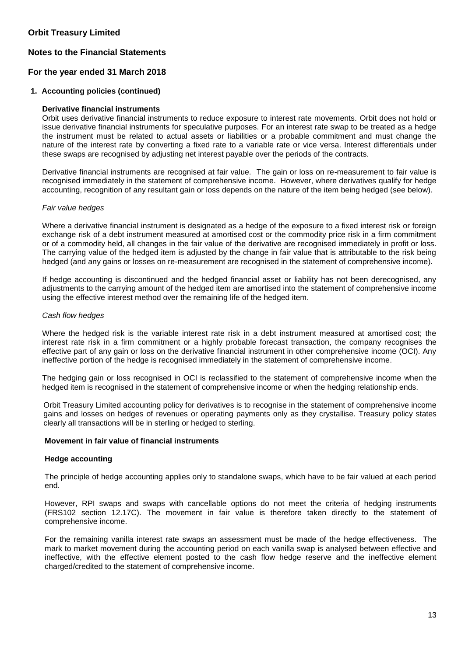## **Notes to the Financial Statements**

# **For the year ended 31 March 2018**

### **1. Accounting policies (continued)**

#### **Derivative financial instruments**

Orbit uses derivative financial instruments to reduce exposure to interest rate movements. Orbit does not hold or issue derivative financial instruments for speculative purposes. For an interest rate swap to be treated as a hedge the instrument must be related to actual assets or liabilities or a probable commitment and must change the nature of the interest rate by converting a fixed rate to a variable rate or vice versa. Interest differentials under these swaps are recognised by adjusting net interest payable over the periods of the contracts.

Derivative financial instruments are recognised at fair value. The gain or loss on re-measurement to fair value is recognised immediately in the statement of comprehensive income. However, where derivatives qualify for hedge accounting, recognition of any resultant gain or loss depends on the nature of the item being hedged (see below).

### *Fair value hedges*

Where a derivative financial instrument is designated as a hedge of the exposure to a fixed interest risk or foreign exchange risk of a debt instrument measured at amortised cost or the commodity price risk in a firm commitment or of a commodity held, all changes in the fair value of the derivative are recognised immediately in profit or loss. The carrying value of the hedged item is adjusted by the change in fair value that is attributable to the risk being hedged (and any gains or losses on re-measurement are recognised in the statement of comprehensive income).

If hedge accounting is discontinued and the hedged financial asset or liability has not been derecognised, any adjustments to the carrying amount of the hedged item are amortised into the statement of comprehensive income using the effective interest method over the remaining life of the hedged item.

### *Cash flow hedges*

Where the hedged risk is the variable interest rate risk in a debt instrument measured at amortised cost; the interest rate risk in a firm commitment or a highly probable forecast transaction, the company recognises the effective part of any gain or loss on the derivative financial instrument in other comprehensive income (OCI). Any ineffective portion of the hedge is recognised immediately in the statement of comprehensive income.

The hedging gain or loss recognised in OCI is reclassified to the statement of comprehensive income when the hedged item is recognised in the statement of comprehensive income or when the hedging relationship ends.

Orbit Treasury Limited accounting policy for derivatives is to recognise in the statement of comprehensive income gains and losses on hedges of revenues or operating payments only as they crystallise. Treasury policy states clearly all transactions will be in sterling or hedged to sterling.

#### **Movement in fair value of financial instruments**

#### **Hedge accounting**

The principle of hedge accounting applies only to standalone swaps, which have to be fair valued at each period end.

However, RPI swaps and swaps with cancellable options do not meet the criteria of hedging instruments (FRS102 section 12.17C). The movement in fair value is therefore taken directly to the statement of comprehensive income.

For the remaining vanilla interest rate swaps an assessment must be made of the hedge effectiveness. The mark to market movement during the accounting period on each vanilla swap is analysed between effective and ineffective, with the effective element posted to the cash flow hedge reserve and the ineffective element charged/credited to the statement of comprehensive income.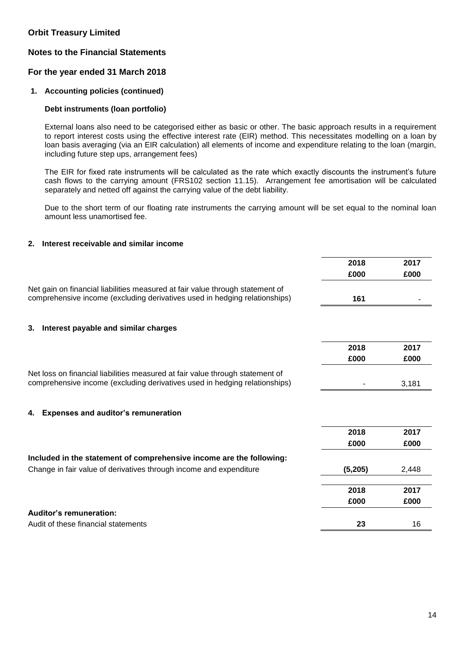# **Notes to the Financial Statements**

# **For the year ended 31 March 2018**

### **1. Accounting policies (continued)**

### **Debt instruments (loan portfolio)**

External loans also need to be categorised either as basic or other. The basic approach results in a requirement to report interest costs using the effective interest rate (EIR) method. This necessitates modelling on a loan by loan basis averaging (via an EIR calculation) all elements of income and expenditure relating to the loan (margin, including future step ups, arrangement fees)

The EIR for fixed rate instruments will be calculated as the rate which exactly discounts the instrument's future cash flows to the carrying amount (FRS102 section 11.15). Arrangement fee amortisation will be calculated separately and netted off against the carrying value of the debt liability.

Due to the short term of our floating rate instruments the carrying amount will be set equal to the nominal loan amount less unamortised fee.

# **2. Interest receivable and similar income**

|                                                                               | 2018     | 2017  |
|-------------------------------------------------------------------------------|----------|-------|
|                                                                               | £000     | £000  |
| Net gain on financial liabilities measured at fair value through statement of |          |       |
| comprehensive income (excluding derivatives used in hedging relationships)    | 161      |       |
|                                                                               |          |       |
| Interest payable and similar charges<br>3.                                    |          |       |
|                                                                               | 2018     | 2017  |
|                                                                               | £000     | £000  |
| Net loss on financial liabilities measured at fair value through statement of |          |       |
| comprehensive income (excluding derivatives used in hedging relationships)    |          | 3,181 |
|                                                                               |          |       |
| <b>Expenses and auditor's remuneration</b><br>4.                              |          |       |
|                                                                               | 2018     | 2017  |
|                                                                               | £000     | £000  |
| Included in the statement of comprehensive income are the following:          |          |       |
| Change in fair value of derivatives through income and expenditure            | (5, 205) | 2,448 |
|                                                                               | 2018     | 2017  |
|                                                                               | £000     | £000  |
| <b>Auditor's remuneration:</b>                                                |          |       |
| Audit of these financial statements                                           | 23       | 16    |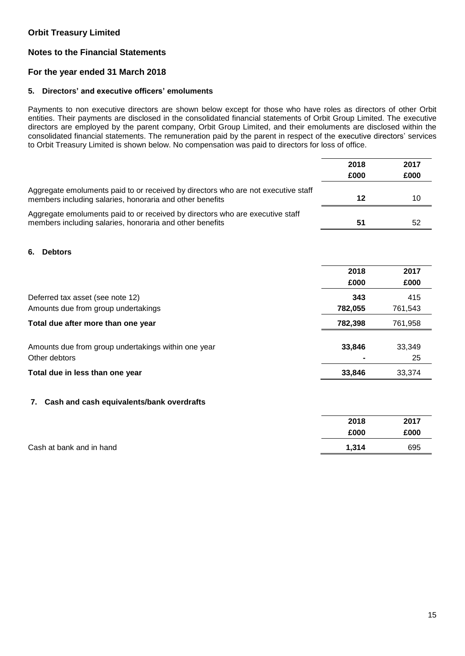# **Notes to the Financial Statements**

# **For the year ended 31 March 2018**

### **5. Directors' and executive officers' emoluments**

Payments to non executive directors are shown below except for those who have roles as directors of other Orbit entities. Their payments are disclosed in the consolidated financial statements of Orbit Group Limited. The executive directors are employed by the parent company, Orbit Group Limited, and their emoluments are disclosed within the consolidated financial statements. The remuneration paid by the parent in respect of the executive directors' services to Orbit Treasury Limited is shown below. No compensation was paid to directors for loss of office.

|                                                                                                                                               | 2018         | 2017         |
|-----------------------------------------------------------------------------------------------------------------------------------------------|--------------|--------------|
|                                                                                                                                               | £000         | £000         |
| Aggregate emoluments paid to or received by directors who are not executive staff<br>members including salaries, honoraria and other benefits | 12           | 10           |
| Aggregate emoluments paid to or received by directors who are executive staff<br>members including salaries, honoraria and other benefits     | 51           | 52           |
| 6.<br><b>Debtors</b>                                                                                                                          |              |              |
|                                                                                                                                               | 2018<br>£000 | 2017<br>£000 |
| Deferred tax asset (see note 12)                                                                                                              | 343          | 415          |
| Amounts due from group undertakings                                                                                                           | 782,055      | 761,543      |
| Total due after more than one year                                                                                                            | 782,398      | 761,958      |
| Amounts due from group undertakings within one year<br>Other debtors                                                                          | 33,846       | 33,349<br>25 |
| Total due in less than one year                                                                                                               | 33,846       | 33,374       |
|                                                                                                                                               |              |              |

### **7. Cash and cash equivalents/bank overdrafts**

|                          | 2018  | 2017 |
|--------------------------|-------|------|
|                          | £000  | £000 |
| Cash at bank and in hand | 1,314 | 695  |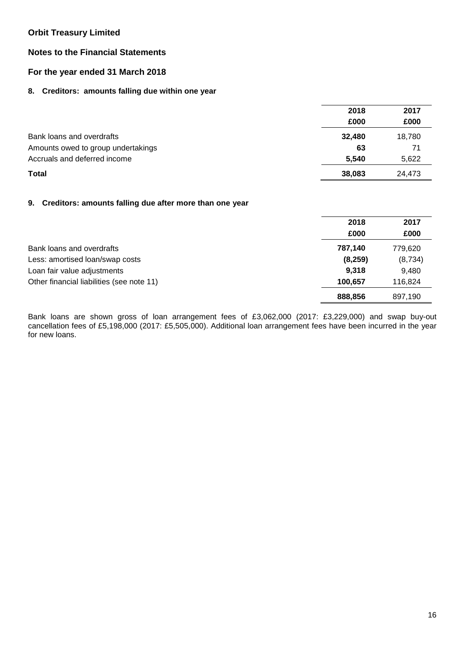# **Notes to the Financial Statements**

# **For the year ended 31 March 2018**

## **8. Creditors: amounts falling due within one year**

|                                    | 2018   | 2017   |
|------------------------------------|--------|--------|
|                                    | £000   | £000   |
| Bank loans and overdrafts          | 32,480 | 18,780 |
| Amounts owed to group undertakings | 63     | 71     |
| Accruals and deferred income       | 5,540  | 5,622  |
| <b>Total</b>                       | 38.083 | 24.473 |

# **9. Creditors: amounts falling due after more than one year**

|                                           | 2018     | 2017    |
|-------------------------------------------|----------|---------|
|                                           | £000     | £000    |
| Bank loans and overdrafts                 | 787.140  | 779,620 |
| Less: amortised loan/swap costs           | (8, 259) | (8,734) |
| Loan fair value adjustments               | 9.318    | 9,480   |
| Other financial liabilities (see note 11) | 100.657  | 116,824 |
|                                           | 888,856  | 897.190 |

Bank loans are shown gross of loan arrangement fees of £3,062,000 (2017: £3,229,000) and swap buy-out cancellation fees of £5,198,000 (2017: £5,505,000). Additional loan arrangement fees have been incurred in the year for new loans.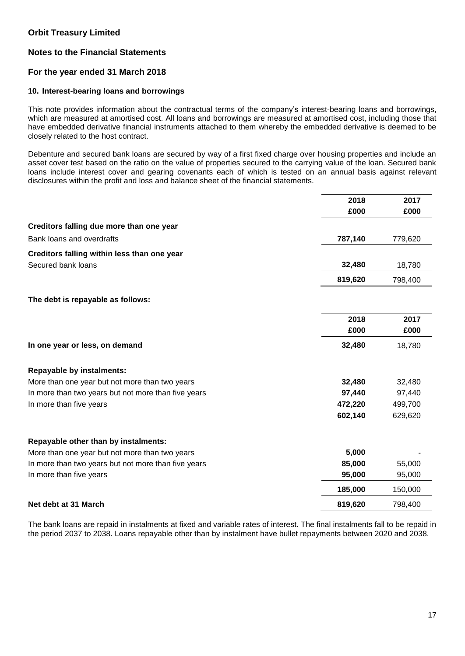# **Notes to the Financial Statements**

# **For the year ended 31 March 2018**

### **10. Interest-bearing loans and borrowings**

This note provides information about the contractual terms of the company's interest-bearing loans and borrowings, which are measured at amortised cost. All loans and borrowings are measured at amortised cost, including those that have embedded derivative financial instruments attached to them whereby the embedded derivative is deemed to be closely related to the host contract.

Debenture and secured bank loans are secured by way of a first fixed charge over housing properties and include an asset cover test based on the ratio on the value of properties secured to the carrying value of the loan. Secured bank loans include interest cover and gearing covenants each of which is tested on an annual basis against relevant disclosures within the profit and loss and balance sheet of the financial statements.

|                                                     | 2018    | 2017    |
|-----------------------------------------------------|---------|---------|
|                                                     | £000    | £000    |
| Creditors falling due more than one year            |         |         |
| Bank loans and overdrafts                           | 787,140 | 779,620 |
| Creditors falling within less than one year         |         |         |
| Secured bank loans                                  | 32,480  | 18,780  |
|                                                     | 819,620 | 798,400 |
| The debt is repayable as follows:                   |         |         |
|                                                     | 2018    | 2017    |
|                                                     | £000    | £000    |
| In one year or less, on demand                      | 32,480  | 18,780  |
| <b>Repayable by instalments:</b>                    |         |         |
| More than one year but not more than two years      | 32,480  | 32,480  |
| In more than two years but not more than five years | 97,440  | 97,440  |
| In more than five years                             | 472,220 | 499,700 |
|                                                     | 602,140 | 629,620 |
| Repayable other than by instalments:                |         |         |
| More than one year but not more than two years      | 5,000   |         |
| In more than two years but not more than five years | 85,000  | 55,000  |
| In more than five years                             | 95,000  | 95,000  |
|                                                     | 185,000 | 150,000 |
| Net debt at 31 March                                | 819,620 | 798,400 |

The bank loans are repaid in instalments at fixed and variable rates of interest. The final instalments fall to be repaid in the period 2037 to 2038. Loans repayable other than by instalment have bullet repayments between 2020 and 2038.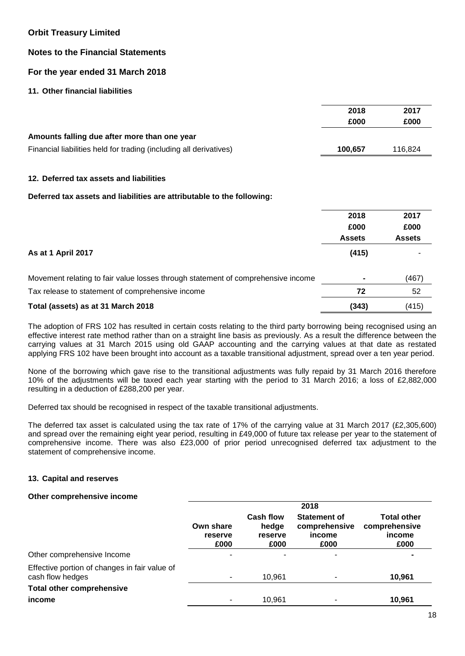# **Notes to the Financial Statements**

# **For the year ended 31 March 2018**

### **11. Other financial liabilities**

|                                                                    | 2018    | 2017    |
|--------------------------------------------------------------------|---------|---------|
|                                                                    | £000    | £000    |
| Amounts falling due after more than one year                       |         |         |
| Financial liabilities held for trading (including all derivatives) | 100.657 | 116.824 |
|                                                                    |         |         |

### **12. Deferred tax assets and liabilities**

### **Deferred tax assets and liabilities are attributable to the following:**

|                                                                                  | 2018          | 2017          |
|----------------------------------------------------------------------------------|---------------|---------------|
|                                                                                  | £000          | £000          |
|                                                                                  | <b>Assets</b> | <b>Assets</b> |
| As at 1 April 2017                                                               | (415)         |               |
| Movement relating to fair value losses through statement of comprehensive income |               | (467)         |
| Tax release to statement of comprehensive income                                 | 72            | 52            |
| Total (assets) as at 31 March 2018                                               | (343)         | (415)         |

The adoption of FRS 102 has resulted in certain costs relating to the third party borrowing being recognised using an effective interest rate method rather than on a straight line basis as previously. As a result the difference between the carrying values at 31 March 2015 using old GAAP accounting and the carrying values at that date as restated applying FRS 102 have been brought into account as a taxable transitional adjustment, spread over a ten year period.

None of the borrowing which gave rise to the transitional adjustments was fully repaid by 31 March 2016 therefore 10% of the adjustments will be taxed each year starting with the period to 31 March 2016; a loss of £2,882,000 resulting in a deduction of £288,200 per year.

Deferred tax should be recognised in respect of the taxable transitional adjustments.

The deferred tax asset is calculated using the tax rate of 17% of the carrying value at 31 March 2017 (£2,305,600) and spread over the remaining eight year period, resulting in £49,000 of future tax release per year to the statement of comprehensive income. There was also £23,000 of prior period unrecognised deferred tax adjustment to the statement of comprehensive income.

### **13. Capital and reserves**

#### **Other comprehensive income**

|                                                                   | 2018                         |                                       |                                                        |                                                       |  |
|-------------------------------------------------------------------|------------------------------|---------------------------------------|--------------------------------------------------------|-------------------------------------------------------|--|
|                                                                   | Own share<br>reserve<br>£000 | Cash flow<br>hedge<br>reserve<br>£000 | <b>Statement of</b><br>comprehensive<br>income<br>£000 | <b>Total other</b><br>comprehensive<br>income<br>£000 |  |
| Other comprehensive Income                                        | ۰                            | ۰                                     | -                                                      |                                                       |  |
| Effective portion of changes in fair value of<br>cash flow hedges | ۰                            | 10,961                                | ۰                                                      | 10,961                                                |  |
| <b>Total other comprehensive</b>                                  |                              |                                       |                                                        |                                                       |  |
| income                                                            | ۰                            | 10.961                                | -                                                      | 10,961                                                |  |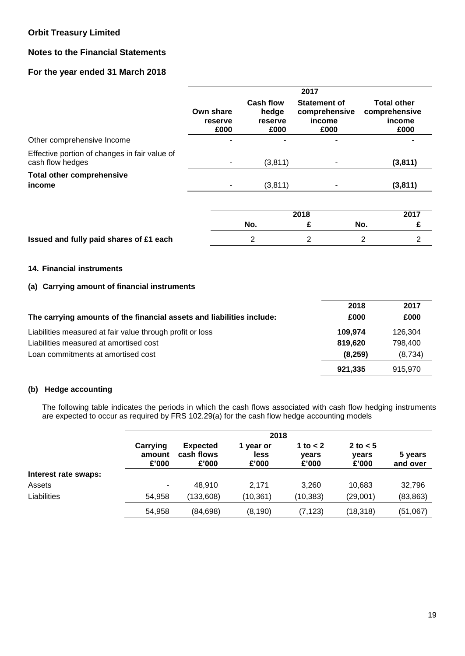# **Notes to the Financial Statements**

# **For the year ended 31 March 2018**

|                                                                   | Own share<br>reserve<br>£000 | Cash flow<br>hedge<br>reserve<br>£000 | 2017<br><b>Statement of</b><br>comprehensive<br>income<br>£000 | <b>Total other</b><br>comprehensive<br>income<br>£000 |
|-------------------------------------------------------------------|------------------------------|---------------------------------------|----------------------------------------------------------------|-------------------------------------------------------|
| Other comprehensive Income                                        |                              |                                       |                                                                |                                                       |
| Effective portion of changes in fair value of<br>cash flow hedges |                              | (3,811)                               |                                                                | (3,811)                                               |
| <b>Total other comprehensive</b><br>income                        |                              | (3,811)                               |                                                                | (3,811)                                               |
|                                                                   |                              |                                       | 2018                                                           | 2017                                                  |
|                                                                   |                              | No.                                   | £                                                              | No.<br>£                                              |
| Issued and fully paid shares of £1 each                           |                              | $\overline{2}$                        | $\overline{2}$                                                 | $\overline{2}$<br>2                                   |

### **14. Financial instruments**

### **(a) Carrying amount of financial instruments**

|                                                                       | 2018    | 2017    |
|-----------------------------------------------------------------------|---------|---------|
| The carrying amounts of the financial assets and liabilities include: | £000    | £000    |
| Liabilities measured at fair value through profit or loss             | 109.974 | 126.304 |
| Liabilities measured at amortised cost                                | 819.620 | 798.400 |
| Loan commitments at amortised cost                                    | (8,259) | (8,734) |
|                                                                       | 921,335 | 915.970 |

## **(b) Hedge accounting**

The following table indicates the periods in which the cash flows associated with cash flow hedging instruments are expected to occur as required by FRS 102.29(a) for the cash flow hedge accounting models

|                      |                             | 2018                                   |                            |                              |                              |                     |
|----------------------|-----------------------------|----------------------------------------|----------------------------|------------------------------|------------------------------|---------------------|
|                      | Carrying<br>amount<br>£'000 | <b>Expected</b><br>cash flows<br>£'000 | 1 year or<br>less<br>£'000 | 1 to $<$ 2<br>vears<br>£'000 | 2 to $< 5$<br>vears<br>£'000 | 5 years<br>and over |
| Interest rate swaps: |                             |                                        |                            |                              |                              |                     |
| Assets               | ۰.                          | 48.910                                 | 2.171                      | 3.260                        | 10.683                       | 32,796              |
| Liabilities          | 54,958                      | (133, 608)                             | (10, 361)                  | (10, 383)                    | (29,001)                     | (83, 863)           |
|                      | 54,958                      | (84, 698)                              | (8, 190)                   | (7, 123)                     | (18, 318)                    | (51,067)            |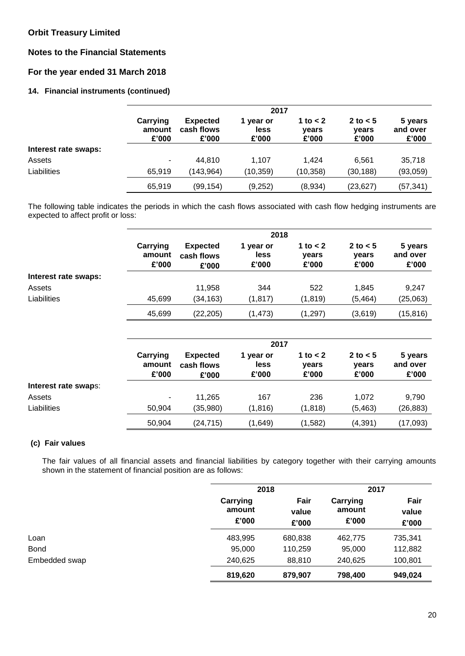# **Notes to the Financial Statements**

# **For the year ended 31 March 2018**

## **14. Financial instruments (continued)**

|                      |                             | 2017                                   |                          |                              |                              |                              |
|----------------------|-----------------------------|----------------------------------------|--------------------------|------------------------------|------------------------------|------------------------------|
|                      | Carrying<br>amount<br>£'000 | <b>Expected</b><br>cash flows<br>£'000 | year or<br>less<br>£'000 | 1 to $<$ 2<br>vears<br>£'000 | 2 to $< 5$<br>vears<br>£'000 | 5 years<br>and over<br>£'000 |
| Interest rate swaps: |                             |                                        |                          |                              |                              |                              |
| Assets               | ٠                           | 44.810                                 | 1.107                    | 1.424                        | 6.561                        | 35,718                       |
| Liabilities          | 65.919                      | (143,964)                              | (10, 359)                | (10, 358)                    | (30, 188)                    | (93,059)                     |
|                      | 65,919                      | (99, 154)                              | (9,252)                  | (8,934)                      | (23,627)                     | (57, 341)                    |

The following table indicates the periods in which the cash flows associated with cash flow hedging instruments are expected to affect profit or loss:

|                      | 2018                        |                                        |                            |                              |                              |                              |
|----------------------|-----------------------------|----------------------------------------|----------------------------|------------------------------|------------------------------|------------------------------|
|                      | Carrying<br>amount<br>£'000 | <b>Expected</b><br>cash flows<br>£'000 | 1 year or<br>less<br>£'000 | 1 to $<$ 2<br>years<br>£'000 | 2 to $< 5$<br>years<br>£'000 | 5 years<br>and over<br>£'000 |
| Interest rate swaps: |                             |                                        |                            |                              |                              |                              |
| Assets               |                             | 11.958                                 | 344                        | 522                          | 1.845                        | 9.247                        |
| Liabilities          | 45,699                      | (34, 163)                              | (1, 817)                   | (1, 819)                     | (5, 464)                     | (25,063)                     |
|                      | 45,699                      | (22, 205)                              | (1, 473)                   | (1, 297)                     | (3,619)                      | (15, 816)                    |

|                      | 2017                        |                                        |                            |                              |                              |                              |
|----------------------|-----------------------------|----------------------------------------|----------------------------|------------------------------|------------------------------|------------------------------|
|                      | Carrying<br>amount<br>£'000 | <b>Expected</b><br>cash flows<br>£'000 | 1 year or<br>less<br>£'000 | 1 to $<$ 2<br>vears<br>£'000 | 2 to $< 5$<br>years<br>£'000 | 5 years<br>and over<br>£'000 |
| Interest rate swaps: |                             |                                        |                            |                              |                              |                              |
| Assets               | ۰                           | 11.265                                 | 167                        | 236                          | 1.072                        | 9,790                        |
| Liabilities          | 50,904                      | (35,980)                               | (1, 816)                   | (1, 818)                     | (5, 463)                     | (26, 883)                    |
|                      | 50,904                      | (24, 715)                              | (1,649)                    | (1,582)                      | (4, 391)                     | (17,093)                     |

### **(c) Fair values**

The fair values of all financial assets and financial liabilities by category together with their carrying amounts shown in the statement of financial position are as follows:

|               |                             | 2018                   |                             | 2017                   |  |
|---------------|-----------------------------|------------------------|-----------------------------|------------------------|--|
|               | Carrying<br>amount<br>£'000 | Fair<br>value<br>£'000 | Carrying<br>amount<br>£'000 | Fair<br>value<br>£'000 |  |
| Loan          | 483,995                     | 680,838                | 462,775                     | 735,341                |  |
| <b>Bond</b>   | 95,000                      | 110,259                | 95,000                      | 112,882                |  |
| Embedded swap | 240,625                     | 88,810                 | 240,625                     | 100,801                |  |
|               | 819,620                     | 879.907                | 798,400                     | 949,024                |  |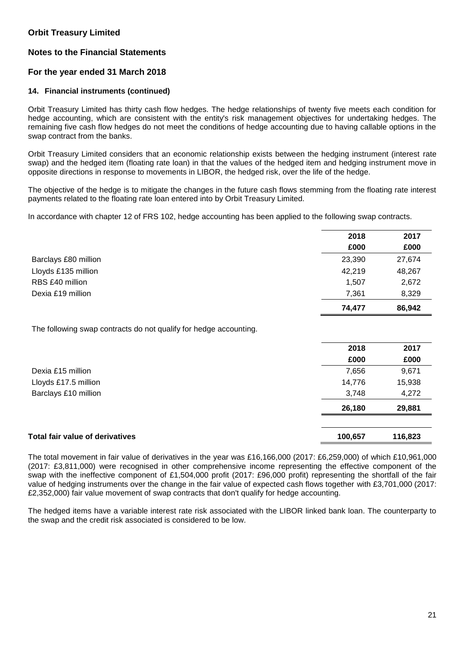# **Notes to the Financial Statements**

# **For the year ended 31 March 2018**

### **14. Financial instruments (continued)**

Orbit Treasury Limited has thirty cash flow hedges. The hedge relationships of twenty five meets each condition for hedge accounting, which are consistent with the entity's risk management objectives for undertaking hedges. The remaining five cash flow hedges do not meet the conditions of hedge accounting due to having callable options in the swap contract from the banks.

Orbit Treasury Limited considers that an economic relationship exists between the hedging instrument (interest rate swap) and the hedged item (floating rate loan) in that the values of the hedged item and hedging instrument move in opposite directions in response to movements in LIBOR, the hedged risk, over the life of the hedge.

The objective of the hedge is to mitigate the changes in the future cash flows stemming from the floating rate interest payments related to the floating rate loan entered into by Orbit Treasury Limited.

In accordance with chapter 12 of FRS 102, hedge accounting has been applied to the following swap contracts.

|                      | 2018   | 2017   |
|----------------------|--------|--------|
|                      | £000   | £000   |
| Barclays £80 million | 23,390 | 27,674 |
| Lloyds £135 million  | 42,219 | 48,267 |
| RBS £40 million      | 1.507  | 2,672  |
| Dexia £19 million    | 7,361  | 8,329  |
|                      | 74,477 | 86,942 |

The following swap contracts do not qualify for hedge accounting.

|                                 | 2018    | 2017    |
|---------------------------------|---------|---------|
|                                 | £000    | £000    |
| Dexia £15 million               | 7,656   | 9,671   |
| Lloyds £17.5 million            | 14,776  | 15,938  |
| Barclays £10 million            | 3,748   | 4,272   |
|                                 | 26,180  | 29,881  |
| Total fair value of derivatives | 100,657 | 116,823 |

The total movement in fair value of derivatives in the year was £16,166,000 (2017: £6,259,000) of which £10,961,000 (2017: £3,811,000) were recognised in other comprehensive income representing the effective component of the swap with the ineffective component of £1,504,000 profit (2017: £96,000 profit) representing the shortfall of the fair value of hedging instruments over the change in the fair value of expected cash flows together with £3,701,000 (2017: £2,352,000) fair value movement of swap contracts that don't qualify for hedge accounting.

The hedged items have a variable interest rate risk associated with the LIBOR linked bank loan. The counterparty to the swap and the credit risk associated is considered to be low.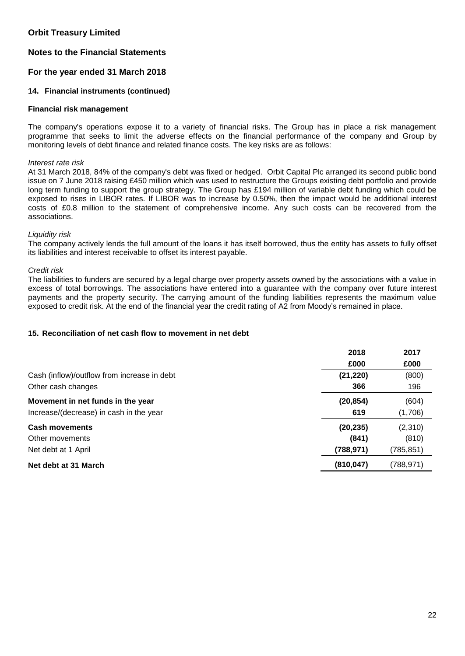## **Notes to the Financial Statements**

# **For the year ended 31 March 2018**

### **14. Financial instruments (continued)**

#### **Financial risk management**

The company's operations expose it to a variety of financial risks. The Group has in place a risk management programme that seeks to limit the adverse effects on the financial performance of the company and Group by monitoring levels of debt finance and related finance costs. The key risks are as follows:

#### *Interest rate risk*

At 31 March 2018, 84% of the company's debt was fixed or hedged. Orbit Capital Plc arranged its second public bond issue on 7 June 2018 raising £450 million which was used to restructure the Groups existing debt portfolio and provide long term funding to support the group strategy. The Group has £194 million of variable debt funding which could be exposed to rises in LIBOR rates. If LIBOR was to increase by 0.50%, then the impact would be additional interest costs of £0.8 million to the statement of comprehensive income. Any such costs can be recovered from the associations.

#### *Liquidity risk*

The company actively lends the full amount of the loans it has itself borrowed, thus the entity has assets to fully offset its liabilities and interest receivable to offset its interest payable.

#### *Credit risk*

The liabilities to funders are secured by a legal charge over property assets owned by the associations with a value in excess of total borrowings. The associations have entered into a guarantee with the company over future interest payments and the property security. The carrying amount of the funding liabilities represents the maximum value exposed to credit risk. At the end of the financial year the credit rating of A2 from Moody's remained in place.

#### **15. Reconciliation of net cash flow to movement in net debt**

|                                             | 2018       | 2017       |
|---------------------------------------------|------------|------------|
|                                             | £000       | £000       |
| Cash (inflow)/outflow from increase in debt | (21, 220)  | (800)      |
| Other cash changes                          | 366        | 196        |
| Movement in net funds in the year           | (20, 854)  | (604)      |
| Increase/(decrease) in cash in the year     | 619        | (1,706)    |
| <b>Cash movements</b>                       | (20, 235)  | (2,310)    |
| Other movements                             | (841)      | (810)      |
| Net debt at 1 April                         | (788, 971) | (785, 851) |
| Net debt at 31 March                        | (810, 047) | (788, 971) |
|                                             |            |            |